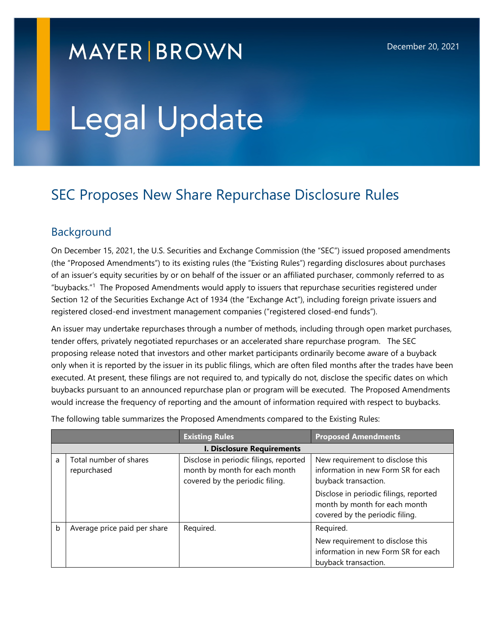## **MAYER BROWN**

# Legal Update

### SEC Proposes New Share Repurchase Disclosure Rules

#### Background

On December 15, 2021, the U.S. Securities and Exchange Commission (the "SEC") issued proposed amendments (the "Proposed Amendments") to its existing rules (the "Existing Rules") regarding disclosures about purchases of an issuer's equity securities by or on behalf of the issuer or an affiliated purchaser, commonly referred to as "buybacks."<sup>1</sup> The Proposed Amendments would apply to issuers that repurchase securities registered under Section 12 of the Securities Exchange Act of 1934 (the "Exchange Act"), including foreign private issuers and registered closed-end investment management companies ("registered closed-end funds").

An issuer may undertake repurchases through a number of methods, including through open market purchases, tender offers, privately negotiated repurchases or an accelerated share repurchase program. The SEC proposing release noted that investors and other market participants ordinarily become aware of a buyback only when it is reported by the issuer in its public filings, which are often filed months after the trades have been executed. At present, these filings are not required to, and typically do not, disclose the specific dates on which buybacks pursuant to an announced repurchase plan or program will be executed. The Proposed Amendments would increase the frequency of reporting and the amount of information required with respect to buybacks.

|                                   |                                       | <b>Existing Rules</b>                                                                                      | <b>Proposed Amendments</b>                                                                                                                                                 |  |
|-----------------------------------|---------------------------------------|------------------------------------------------------------------------------------------------------------|----------------------------------------------------------------------------------------------------------------------------------------------------------------------------|--|
| <b>I. Disclosure Requirements</b> |                                       |                                                                                                            |                                                                                                                                                                            |  |
| a                                 | Total number of shares<br>repurchased | Disclose in periodic filings, reported<br>month by month for each month<br>covered by the periodic filing. | New requirement to disclose this<br>information in new Form SR for each<br>buyback transaction.<br>Disclose in periodic filings, reported<br>month by month for each month |  |
| b                                 | Average price paid per share          | Required.                                                                                                  | covered by the periodic filing.<br>Required.                                                                                                                               |  |
|                                   |                                       |                                                                                                            | New requirement to disclose this<br>information in new Form SR for each<br>buyback transaction.                                                                            |  |

The following table summarizes the Proposed Amendments compared to the Existing Rules: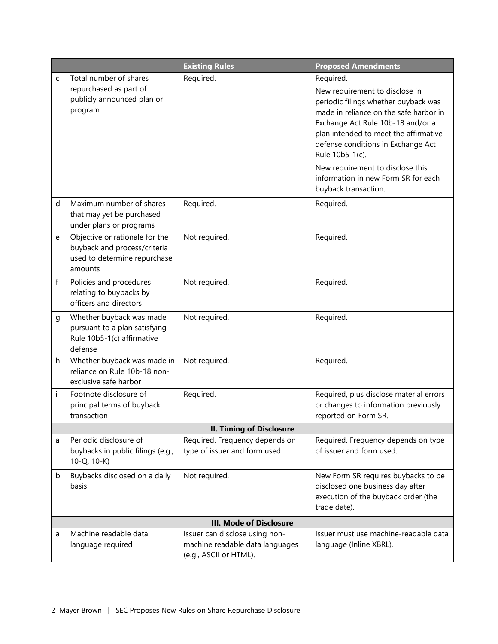|   |                                                                                                           | <b>Existing Rules</b>                                                                       | <b>Proposed Amendments</b>                                                                                                                                                                                                                                                                                                                                              |  |  |
|---|-----------------------------------------------------------------------------------------------------------|---------------------------------------------------------------------------------------------|-------------------------------------------------------------------------------------------------------------------------------------------------------------------------------------------------------------------------------------------------------------------------------------------------------------------------------------------------------------------------|--|--|
| C | Total number of shares<br>repurchased as part of<br>publicly announced plan or<br>program                 | Required.                                                                                   | Required.<br>New requirement to disclose in<br>periodic filings whether buyback was<br>made in reliance on the safe harbor in<br>Exchange Act Rule 10b-18 and/or a<br>plan intended to meet the affirmative<br>defense conditions in Exchange Act<br>Rule 10b5-1(c).<br>New requirement to disclose this<br>information in new Form SR for each<br>buyback transaction. |  |  |
| d | Maximum number of shares<br>that may yet be purchased<br>under plans or programs                          | Required.                                                                                   | Required.                                                                                                                                                                                                                                                                                                                                                               |  |  |
| e | Objective or rationale for the<br>buyback and process/criteria<br>used to determine repurchase<br>amounts | Not required.                                                                               | Required.                                                                                                                                                                                                                                                                                                                                                               |  |  |
| f | Policies and procedures<br>relating to buybacks by<br>officers and directors                              | Not required.                                                                               | Required.                                                                                                                                                                                                                                                                                                                                                               |  |  |
| g | Whether buyback was made<br>pursuant to a plan satisfying<br>Rule 10b5-1(c) affirmative<br>defense        | Not required.                                                                               | Required.                                                                                                                                                                                                                                                                                                                                                               |  |  |
| h | Whether buyback was made in<br>reliance on Rule 10b-18 non-<br>exclusive safe harbor                      | Not required.                                                                               | Required.                                                                                                                                                                                                                                                                                                                                                               |  |  |
| i | Footnote disclosure of<br>principal terms of buyback<br>transaction                                       | Required.                                                                                   | Required, plus disclose material errors<br>or changes to information previously<br>reported on Form SR.                                                                                                                                                                                                                                                                 |  |  |
|   | <b>II. Timing of Disclosure</b>                                                                           |                                                                                             |                                                                                                                                                                                                                                                                                                                                                                         |  |  |
| a | Periodic disclosure of<br>buybacks in public filings (e.g.,<br>$10-Q$ , $10-K$ )                          | Required. Frequency depends on<br>type of issuer and form used.                             | Required. Frequency depends on type<br>of issuer and form used.                                                                                                                                                                                                                                                                                                         |  |  |
| b | Buybacks disclosed on a daily<br>basis                                                                    | Not required.                                                                               | New Form SR requires buybacks to be<br>disclosed one business day after<br>execution of the buyback order (the<br>trade date).                                                                                                                                                                                                                                          |  |  |
|   | <b>III. Mode of Disclosure</b>                                                                            |                                                                                             |                                                                                                                                                                                                                                                                                                                                                                         |  |  |
| a | Machine readable data<br>language required                                                                | Issuer can disclose using non-<br>machine readable data languages<br>(e.g., ASCII or HTML). | Issuer must use machine-readable data<br>language (Inline XBRL).                                                                                                                                                                                                                                                                                                        |  |  |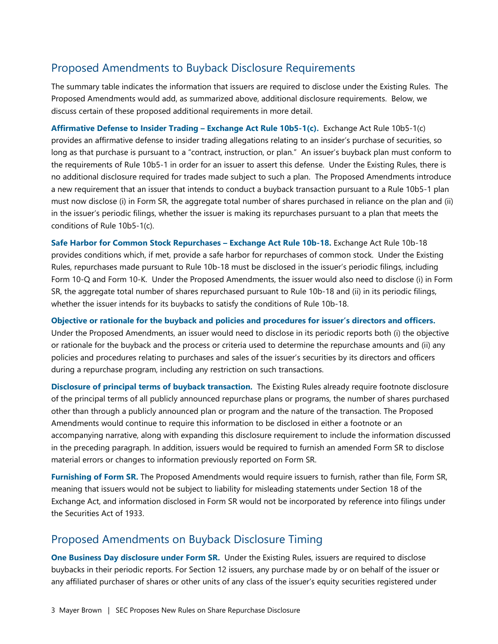#### Proposed Amendments to Buyback Disclosure Requirements

The summary table indicates the information that issuers are required to disclose under the Existing Rules. The Proposed Amendments would add, as summarized above, additional disclosure requirements. Below, we discuss certain of these proposed additional requirements in more detail.

**Affirmative Defense to Insider Trading – Exchange Act Rule 10b5-1(c).** Exchange Act Rule 10b5-1(c) provides an affirmative defense to insider trading allegations relating to an insider's purchase of securities, so long as that purchase is pursuant to a "contract, instruction, or plan." An issuer's buyback plan must conform to the requirements of Rule 10b5-1 in order for an issuer to assert this defense. Under the Existing Rules, there is no additional disclosure required for trades made subject to such a plan. The Proposed Amendments introduce a new requirement that an issuer that intends to conduct a buyback transaction pursuant to a Rule 10b5-1 plan must now disclose (i) in Form SR, the aggregate total number of shares purchased in reliance on the plan and (ii) in the issuer's periodic filings, whether the issuer is making its repurchases pursuant to a plan that meets the conditions of Rule 10b5-1(c).

**Safe Harbor for Common Stock Repurchases – Exchange Act Rule 10b-18.** Exchange Act Rule 10b-18 provides conditions which, if met, provide a safe harbor for repurchases of common stock. Under the Existing Rules, repurchases made pursuant to Rule 10b-18 must be disclosed in the issuer's periodic filings, including Form 10-Q and Form 10-K. Under the Proposed Amendments, the issuer would also need to disclose (i) in Form SR, the aggregate total number of shares repurchased pursuant to Rule 10b-18 and (ii) in its periodic filings, whether the issuer intends for its buybacks to satisfy the conditions of Rule 10b-18.

**Objective or rationale for the buyback and policies and procedures for issuer's directors and officers.**  Under the Proposed Amendments, an issuer would need to disclose in its periodic reports both (i) the objective or rationale for the buyback and the process or criteria used to determine the repurchase amounts and (ii) any policies and procedures relating to purchases and sales of the issuer's securities by its directors and officers during a repurchase program, including any restriction on such transactions.

**Disclosure of principal terms of buyback transaction.** The Existing Rules already require footnote disclosure of the principal terms of all publicly announced repurchase plans or programs, the number of shares purchased other than through a publicly announced plan or program and the nature of the transaction. The Proposed Amendments would continue to require this information to be disclosed in either a footnote or an accompanying narrative, along with expanding this disclosure requirement to include the information discussed in the preceding paragraph. In addition, issuers would be required to furnish an amended Form SR to disclose material errors or changes to information previously reported on Form SR.

**Furnishing of Form SR.** The Proposed Amendments would require issuers to furnish, rather than file, Form SR, meaning that issuers would not be subject to liability for misleading statements under Section 18 of the Exchange Act, and information disclosed in Form SR would not be incorporated by reference into filings under the Securities Act of 1933.

#### Proposed Amendments on Buyback Disclosure Timing

**One Business Day disclosure under Form SR.** Under the Existing Rules, issuers are required to disclose buybacks in their periodic reports. For Section 12 issuers, any purchase made by or on behalf of the issuer or any affiliated purchaser of shares or other units of any class of the issuer's equity securities registered under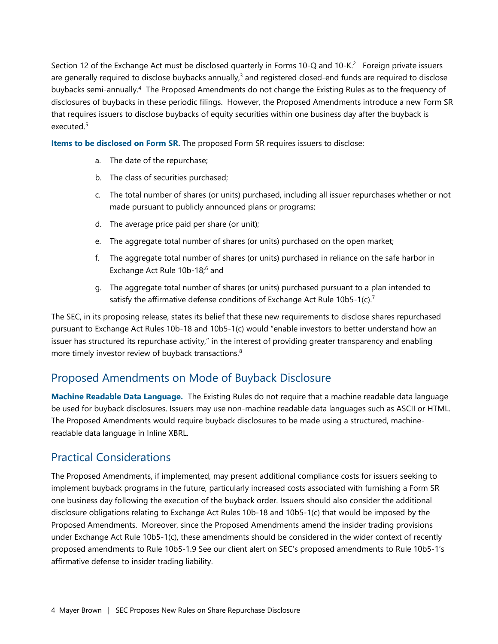Section 12 of the Exchange Act must be disclosed quarterly in Forms 10-Q and 10-K.<sup>2</sup> Foreign private issuers are generally required to disclose buybacks annually,<sup>3</sup> and registered closed-end funds are required to disclose buybacks semi-annually.<sup>4</sup> The Proposed Amendments do not change the Existing Rules as to the frequency of disclosures of buybacks in these periodic filings. However, the Proposed Amendments introduce a new Form SR that requires issuers to disclose buybacks of equity securities within one business day after the buyback is executed.<sup>5</sup>

**Items to be disclosed on Form SR.** The proposed Form SR requires issuers to disclose:

- a. The date of the repurchase;
- b. The class of securities purchased;
- c. The total number of shares (or units) purchased, including all issuer repurchases whether or not made pursuant to publicly announced plans or programs;
- d. The average price paid per share (or unit);
- e. The aggregate total number of shares (or units) purchased on the open market;
- f. The aggregate total number of shares (or units) purchased in reliance on the safe harbor in Exchange Act Rule 10b-18;<sup>6</sup> and
- g. The aggregate total number of shares (or units) purchased pursuant to a plan intended to satisfy the affirmative defense conditions of Exchange Act Rule 10b5-1(c).<sup>7</sup>

The SEC, in its proposing release, states its belief that these new requirements to disclose shares repurchased pursuant to Exchange Act Rules 10b-18 and 10b5-1(c) would "enable investors to better understand how an issuer has structured its repurchase activity," in the interest of providing greater transparency and enabling more timely investor review of buyback transactions.<sup>8</sup>

#### Proposed Amendments on Mode of Buyback Disclosure

**Machine Readable Data Language.** The Existing Rules do not require that a machine readable data language be used for buyback disclosures. Issuers may use non-machine readable data languages such as ASCII or HTML. The Proposed Amendments would require buyback disclosures to be made using a structured, machinereadable data language in Inline XBRL.

#### Practical Considerations

The Proposed Amendments, if implemented, may present additional compliance costs for issuers seeking to implement buyback programs in the future, particularly increased costs associated with furnishing a Form SR one business day following the execution of the buyback order. Issuers should also consider the additional disclosure obligations relating to Exchange Act Rules 10b-18 and 10b5-1(c) that would be imposed by the Proposed Amendments. Moreover, since the Proposed Amendments amend the insider trading provisions under Exchange Act Rule 10b5-1(c), these amendments should be considered in the wider context of recently proposed amendments to Rule 10b5-1.9 See [our client alert on SEC's proposed amendments to Rule 10b5-1's](https://www.mayerbrown.com/-/media/files/perspectives-events/publications/2021/12/sec-proposes-amendments-to-rule-10b51s-affirmative-defense-to-insider-trading-liability.pdf)  [affirmative defense to insider trading liability.](https://www.mayerbrown.com/-/media/files/perspectives-events/publications/2021/12/sec-proposes-amendments-to-rule-10b51s-affirmative-defense-to-insider-trading-liability.pdf)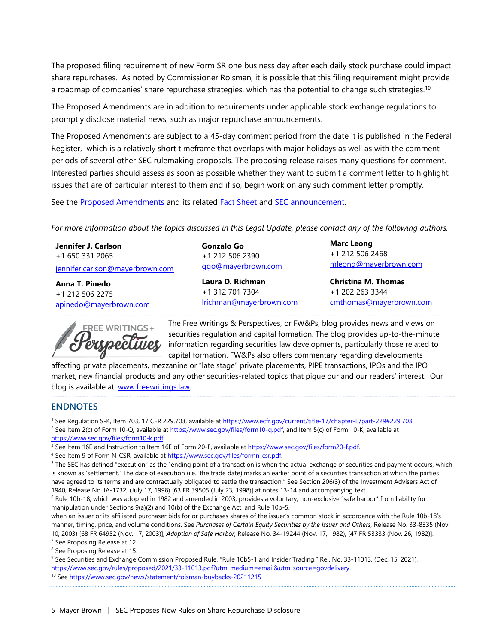The proposed filing requirement of new Form SR one business day after each daily stock purchase could impact share repurchases. As noted by Commissioner Roisman, it is possible that this filing requirement might provide a roadmap of companies' share repurchase strategies, which has the potential to change such strategies.<sup>10</sup>

The Proposed Amendments are in addition to requirements under applicable stock exchange regulations to promptly disclose material news, such as major repurchase announcements.

The Proposed Amendments are subject to a 45-day comment period from the date it is published in the Federal Register, which is a relatively short timeframe that overlaps with major holidays as well as with the comment periods of several other SEC rulemaking proposals. The proposing release raises many questions for comment. Interested parties should assess as soon as possible whether they want to submit a comment letter to highlight issues that are of particular interest to them and if so, begin work on any such comment letter promptly.

See the [Proposed Amendments a](https://www.sec.gov/rules/proposed/2021/34-93783.pdf)nd its related [Fact Sheet](https://www.sec.gov/rules/proposed/2021/34-93783-fact-sheet.pdf) and [SEC announcement.](https://www.sec.gov/news/press-release/2021-257) 

*For more information about the topics discussed in this Legal Update, please contact any of the following authors.*

**Jennifer J. Carlson**  +1 650 331 2065

[jennifer.carlson@mayerbrown.com](mailto:jennifer.carlson@mayerbrown.com)

**Anna T. Pinedo**  +1 212 506 2275 apinedo@mayerbrown.com



**Gonzalo Go**  +1 212 506 2390 ggo@mayerbrown.com

**Laura D. Richman**  +1 312 701 7304 lrichman@mayerbrown.com **Marc Leong**  +1 212 506 2468 mleong@mayerbrown.com

**Christina M. Thomas**  +1 202 263 3344 cmthomas@mayerbrown.com

The Free Writings & Perspectives, or FW&Ps, blog provides news and views on securities regulation and capital formation. The blog provides up-to-the-minute information regarding securities law developments, particularly those related to capital formation. FW&Ps also offers commentary regarding developments

affecting private placements, mezzanine or "late stage" private placements, PIPE transactions, IPOs and the IPO market, new financial products and any other securities-related topics that pique our and our readers' interest. Our blog is available at: [www.freewritings.law.](http://www.freewritings.law/)

#### **ENDNOTES**

<sup>1</sup> See Regulation S-K, Item 703, 17 CFR 229.703, available at https://www.ecfr.gov/current/title-17/chapter-II/part-229#229.703. <sup>2</sup> See Item 2(c) of Form 10-Q, available a[t https://www.sec.gov/files/form10-q.pdf,](https://www.sec.gov/files/form10-q.pdf) and Item 5(c) of Form 10-K, available at [https://www.sec.gov/files/form10-k.pdf.](https://www.sec.gov/files/form10-k.pdf) 

<sup>3</sup> See Item 16E and Instruction to Item 16E of Form 20-F, available at https://www.sec.gov/files/form20-f.pdf.

<sup>4</sup> See Item 9 of Form N-CSR, available at https://www.sec.gov/files/formn-csr.pdf.

<sup>5</sup> The SEC has defined "execution" as the "ending point of a transaction is when the actual exchange of securities and payment occurs, which is known as 'settlement.' The date of execution (i.e., the trade date) marks an earlier point of a securities transaction at which the parties have agreed to its terms and are contractually obligated to settle the transaction." See Section 206(3) of the Investment Advisers Act of 1940, Release No. IA-1732, (July 17, 1998) [63 FR 39505 (July 23, 1998)] at notes 13-14 and accompanying text.

<sup>6</sup> Rule 10b-18, which was adopted in 1982 and amended in 2003, provides a voluntary, non-exclusive "safe harbor" from liability for manipulation under Sections 9(a)(2) and 10(b) of the Exchange Act, and Rule 10b-5,

when an issuer or its affiliated purchaser bids for or purchases shares of the issuer's common stock in accordance with the Rule 10b-18's manner, timing, price, and volume conditions. See *Purchases of Certain Equity Securities by the Issuer and Others*, Release No. 33-8335 (Nov. 10, 2003) [68 FR 64952 (Nov. 17, 2003)]; *Adoption of Safe Harbor*, Release No. 34-19244 (Nov. 17, 1982), [47 FR 53333 (Nov. 26, 1982)].

<sup>7</sup> See Proposing Release at 12. <sup>8</sup> See Proposing Release at 15.

<sup>9</sup> See Securities and Exchange Commission Proposed Rule, "Rule 10b5-1 and Insider Trading," Rel. No. 33-11013, (Dec. 15, 2021), https://www.sec.gov/rules/proposed/2021/33-11013.pdf?utm\_medium=email&utm\_source=govdelivery. 10 Se[e https://www.sec.gov/news/statement/roisman-buybacks-20211215](https://www.sec.gov/news/statement/roisman-buybacks-20211215)